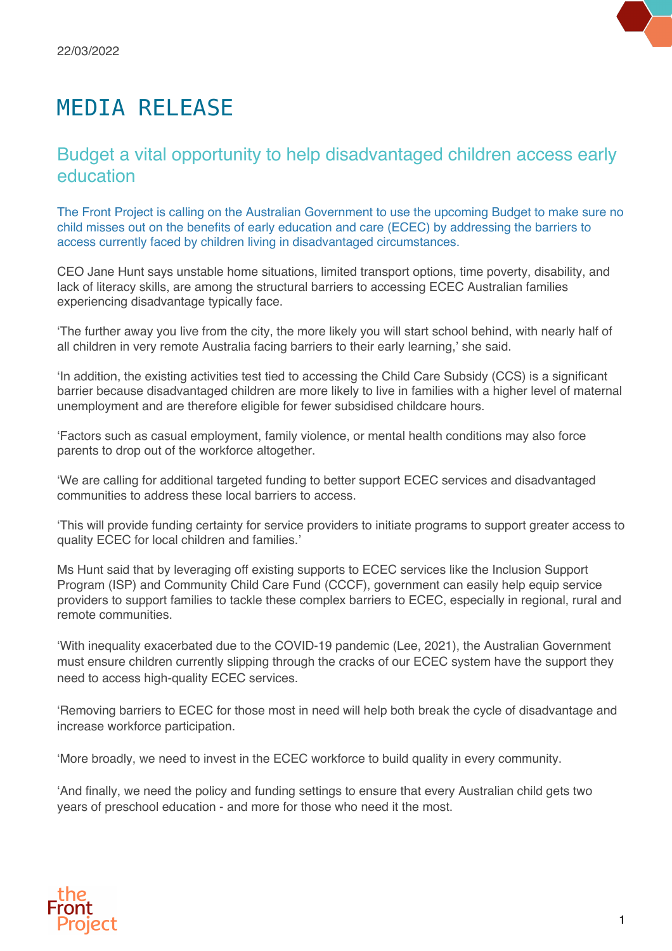## MEDIA RELEASE

## Budget a vital opportunity to help disadvantaged children access early education

The Front Project is calling on the Australian Government to use the upcoming Budget to make sure no child misses out on the benefits of early education and care (ECEC) by addressing the barriers to access currently faced by children living in disadvantaged circumstances.

CEO Jane Hunt says unstable home situations, limited transport options, time poverty, disability, and lack of literacy skills, are among the structural barriers to accessing ECEC Australian families experiencing disadvantage typically face.

'The further away you live from the city, the more likely you will start school behind, with nearly half of all children in very remote Australia facing barriers to their early learning,' she said.

'In addition, the existing activities test tied to accessing the Child Care Subsidy (CCS) is a significant barrier because disadvantaged children are more likely to live in families with a higher level of maternal unemployment and are therefore eligible for fewer subsidised childcare hours.

'Factors such as casual employment, family violence, or mental health conditions may also force parents to drop out of the workforce altogether.

'We are calling for additional targeted funding to better support ECEC services and disadvantaged communities to address these local barriers to access.

'This will provide funding certainty for service providers to initiate programs to support greater access to quality ECEC for local children and families.'

Ms Hunt said that by leveraging off existing supports to ECEC services like the Inclusion Support Program (ISP) and Community Child Care Fund (CCCF), government can easily help equip service providers to support families to tackle these complex barriers to ECEC, especially in regional, rural and remote communities.

'With inequality exacerbated due to the COVID-19 pandemic (Lee, 2021), the Australian Government must ensure children currently slipping through the cracks of our ECEC system have the support they need to access high-quality ECEC services.

'Removing barriers to ECEC for those most in need will help both break the cycle of disadvantage and increase workforce participation.

'More broadly, we need to invest in the ECEC workforce to build quality in every community.

'And finally, we need the policy and funding settings to ensure that every Australian child gets two years of preschool education - and more for those who need it the most.